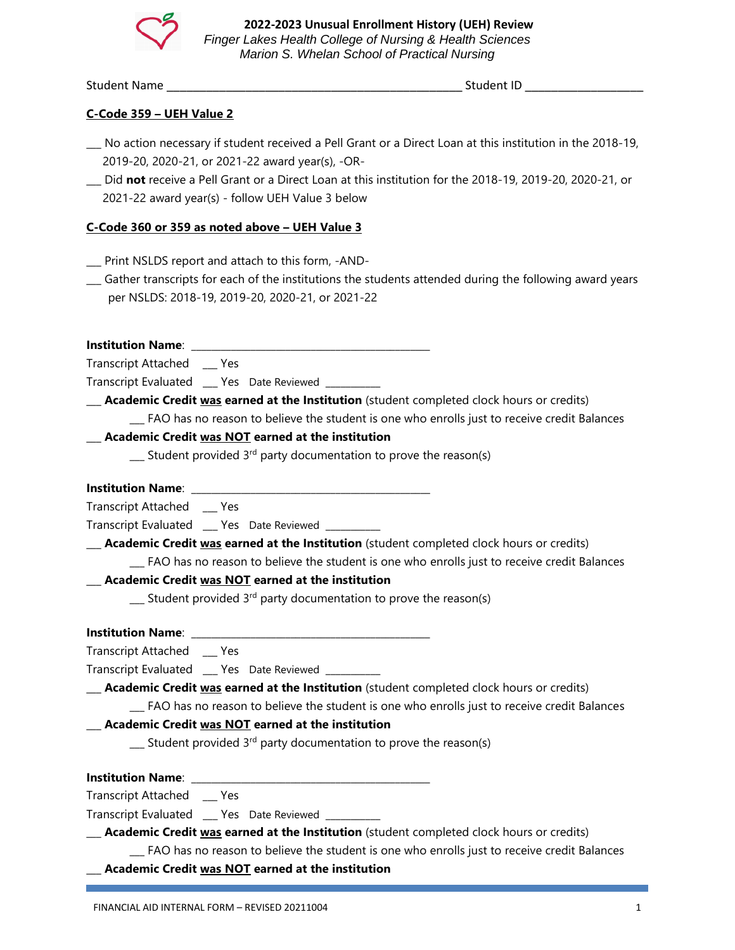

Student Name \_\_\_\_\_\_\_\_\_\_\_\_\_\_\_\_\_\_\_\_\_\_\_\_\_\_\_\_\_\_\_\_\_\_\_\_\_\_\_\_\_\_\_\_\_ Student ID \_\_\_\_\_\_\_\_\_\_\_\_\_\_\_\_\_\_

## **C-Code 359 – UEH Value 2**

- \_\_\_ No action necessary if student received a Pell Grant or a Direct Loan at this institution in the 2018-19, 2019-20, 2020-21, or 2021-22 award year(s), -OR-
- \_\_\_ Did **not** receive a Pell Grant or a Direct Loan at this institution for the 2018-19, 2019-20, 2020-21, or 2021-22 award year(s) - follow UEH Value 3 below

## **C-Code 360 or 359 as noted above – UEH Value 3**

- \_\_\_ Print NSLDS report and attach to this form, -AND-
- **\_\_\_** Gather transcripts for each of the institutions the students attended during the following award years per NSLDS: 2018-19, 2019-20, 2020-21, or 2021-22

**Institution Name:** 

Transcript Attached \_\_\_ Yes

Transcript Evaluated \_\_\_ Yes Date Reviewed \_\_\_\_\_\_\_\_

\_\_\_ **Academic Credit was earned at the Institution** (student completed clock hours or credits)

\_\_\_ FAO has no reason to believe the student is one who enrolls just to receive credit Balances

# \_\_\_ **Academic Credit was NOT earned at the institution**

 $\sum$  Student provided 3<sup>rd</sup> party documentation to prove the reason(s)

## **Institution Name:**

Transcript Attached \_\_\_ Yes

Transcript Evaluated Yes Date Reviewed

\_\_\_ **Academic Credit was earned at the Institution** (student completed clock hours or credits) \_\_\_ FAO has no reason to believe the student is one who enrolls just to receive credit Balances

#### \_\_\_ **Academic Credit was NOT earned at the institution**

 $\sum$  Student provided 3<sup>rd</sup> party documentation to prove the reason(s)

**Institution Name:** 

Transcript Attached \_\_\_ Yes

Transcript Evaluated \_\_\_ Yes Date Reviewed \_\_\_\_\_\_\_\_\_\_\_

\_\_\_ **Academic Credit was earned at the Institution** (student completed clock hours or credits)

\_\_\_ FAO has no reason to believe the student is one who enrolls just to receive credit Balances

# \_\_\_ **Academic Credit was NOT earned at the institution**

 $\equiv$  Student provided 3<sup>rd</sup> party documentation to prove the reason(s)

**Institution Name**: \_\_\_\_\_\_\_\_\_\_\_\_\_\_\_\_\_\_\_\_\_\_\_\_\_\_\_\_\_\_\_\_\_\_\_\_\_\_\_\_\_\_\_\_\_\_\_\_

Transcript Attached \_\_\_ Yes

Transcript Evaluated \_\_\_ Yes Date Reviewed \_\_\_\_\_\_\_\_\_

\_\_\_ **Academic Credit was earned at the Institution** (student completed clock hours or credits)

\_\_\_ FAO has no reason to believe the student is one who enrolls just to receive credit Balances

\_\_\_ **Academic Credit was NOT earned at the institution**